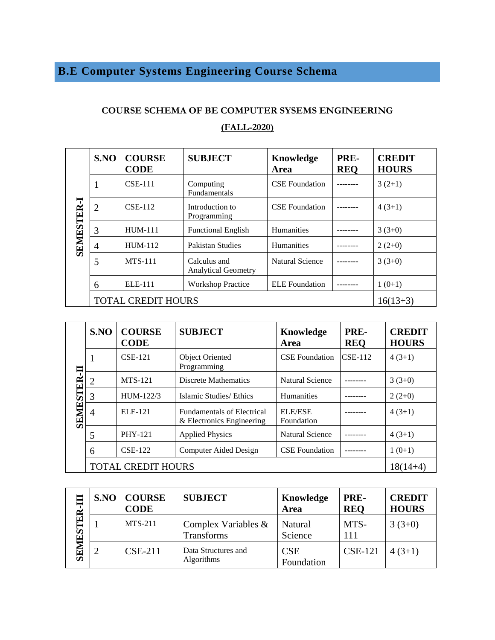## **B.E Computer Systems Engineering Course Schema**

## **COURSE SCHEMA OF BE COMPUTER SYSEMS ENGINEERING (FALL-2020)**

| <b>SEMESTER-I</b> | SNO                       | <b>COURSE</b><br><b>CODE</b> | <b>SUBJECT</b>                             | Knowledge<br>Area      | PRE-<br><b>REQ</b> | <b>CREDIT</b><br><b>HOURS</b> |
|-------------------|---------------------------|------------------------------|--------------------------------------------|------------------------|--------------------|-------------------------------|
|                   | $\mathbf{1}$              | $CSE-111$                    | Computing<br><b>Fundamentals</b>           | <b>CSE</b> Foundation  |                    | $3(2+1)$                      |
|                   | 2                         | $CSE-112$                    | Introduction to<br>Programming             | <b>CSE</b> Foundation  |                    | $4(3+1)$                      |
|                   | 3                         | <b>HUM-111</b>               | <b>Functional English</b>                  | Humanities             |                    | $3(3+0)$                      |
|                   | $\overline{4}$            | $HUM-112$                    | Pakistan Studies                           | <b>Humanities</b>      |                    | $2(2+0)$                      |
|                   | 5                         | <b>MTS-111</b>               | Calculus and<br><b>Analytical Geometry</b> | <b>Natural Science</b> |                    | $3(3+0)$                      |
|                   | 6                         | ELE-111                      | <b>Workshop Practice</b>                   | <b>ELE</b> Foundation  |                    | $1(0+1)$                      |
|                   | <b>TOTAL CREDIT HOURS</b> | $16(13+3)$                   |                                            |                        |                    |                               |

|                    | SNO                       | <b>COURSE</b><br><b>CODE</b> | <b>SUBJECT</b>                                                 | Knowledge<br>Area            | PRE-<br><b>REO</b> | <b>CREDIT</b><br><b>HOURS</b> |
|--------------------|---------------------------|------------------------------|----------------------------------------------------------------|------------------------------|--------------------|-------------------------------|
|                    | 1                         | $CSE-121$                    | <b>Object Oriented</b><br>Programming                          | <b>CSE</b> Foundation        | $CSE-112$          | $4(3+1)$                      |
| <b>SEMESTER-II</b> | $\overline{2}$            | <b>MTS-121</b>               | <b>Discrete Mathematics</b>                                    | <b>Natural Science</b>       |                    | $3(3+0)$                      |
|                    | 3                         | $HIIM-122/3$                 | Islamic Studies/Ethics                                         | <b>Humanities</b>            |                    | $2(2+0)$                      |
|                    | 4                         | ELE-121                      | <b>Fundamentals of Electrical</b><br>& Electronics Engineering | <b>ELE/ESE</b><br>Foundation |                    | $4(3+1)$                      |
|                    | 5                         | <b>PHY-121</b>               | <b>Applied Physics</b>                                         | <b>Natural Science</b>       |                    | $4(3+1)$                      |
|                    | 6                         | <b>CSE-122</b>               | Computer Aided Design                                          | <b>CSE</b> Foundation        |                    | $1(0+1)$                      |
|                    | <b>TOTAL CREDIT HOURS</b> | $18(14+4)$                   |                                                                |                              |                    |                               |

| $\mathbf{\tilde{E}}$<br>۲Ś<br>E | S.NO | <b>COURSE</b><br><b>CODE</b> | <b>SUBJECT</b>                       | Knowledge<br>Area        | PRE-<br><b>REO</b> | <b>CREDIT</b><br><b>HOURS</b> |
|---------------------------------|------|------------------------------|--------------------------------------|--------------------------|--------------------|-------------------------------|
|                                 |      | <b>MTS-211</b>               | Complex Variables $\&$<br>Transforms | Natural<br>Science       | MTS-<br>111        | $3(3+0)$                      |
| $\overline{\textbf{SE}}$        |      | $CSE-211$                    | Data Structures and<br>Algorithms    | <b>CSE</b><br>Foundation | <b>CSE-121</b>     | $4(3+1)$                      |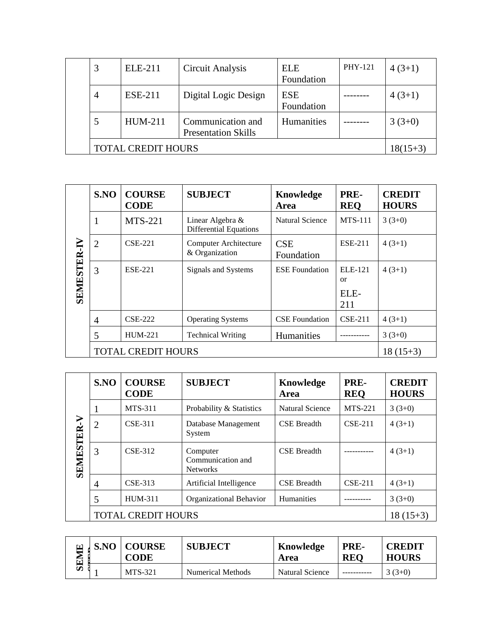| 3                         | <b>ELE-211</b> | Circuit Analysis                                | <b>ELE</b><br>Foundation | PHY-121 | $4(3+1)$ |
|---------------------------|----------------|-------------------------------------------------|--------------------------|---------|----------|
| $\overline{4}$            | <b>ESE-211</b> | Digital Logic Design                            | <b>ESE</b><br>Foundation |         | $4(3+1)$ |
|                           | <b>HUM-211</b> | Communication and<br><b>Presentation Skills</b> | Humanities               |         | $3(3+0)$ |
| <b>TOTAL CREDIT HOURS</b> | $18(15+3)$     |                                                 |                          |         |          |

| <b>SEMESTER-I</b> | S.NO                      | <b>COURSE</b><br><b>CODE</b> | <b>SUBJECT</b>                                    | Knowledge<br>Area        | PRE-<br><b>REQ</b> | <b>CREDIT</b><br><b>HOURS</b> |
|-------------------|---------------------------|------------------------------|---------------------------------------------------|--------------------------|--------------------|-------------------------------|
|                   | 1                         | <b>MTS-221</b>               | Linear Algebra &<br><b>Differential Equations</b> | <b>Natural Science</b>   | <b>MTS-111</b>     | $3(3+0)$                      |
|                   | $\overline{2}$            | $CSE-221$                    | Computer Architecture<br>& Organization           | <b>CSE</b><br>Foundation | <b>ESE-211</b>     | $4(3+1)$                      |
|                   | 3                         | <b>ESE-221</b>               | Signals and Systems                               | <b>ESE</b> Foundation    | ELE-121<br>or      | $4(3+1)$                      |
|                   |                           |                              |                                                   |                          | ELE-<br>211        |                               |
|                   | 4                         | $CSE-222$                    | <b>Operating Systems</b>                          | <b>CSE</b> Foundation    | $CSE-211$          | $4(3+1)$                      |
|                   | 5                         | <b>HUM-221</b>               | <b>Technical Writing</b>                          | Humanities               |                    | $3(3+0)$                      |
|                   | <b>TOTAL CREDIT HOURS</b> | $18(15+3)$                   |                                                   |                          |                    |                               |

|                   | SNO                       | <b>COURSE</b><br><b>CODE</b> | <b>SUBJECT</b>                                   | Knowledge<br>Area  | PRE-<br><b>REO</b> | <b>CREDIT</b><br><b>HOURS</b> |  |
|-------------------|---------------------------|------------------------------|--------------------------------------------------|--------------------|--------------------|-------------------------------|--|
| <b>SEMESTER-V</b> |                           | <b>MTS-311</b>               | Probability & Statistics                         | Natural Science    | <b>MTS-221</b>     | $3(3+0)$                      |  |
|                   | 2                         | CSE-311                      | Database Management<br>System                    | <b>CSE</b> Breadth | $CSE-211$          | $4(3+1)$                      |  |
|                   | 3                         | CSE-312                      | Computer<br>Communication and<br><b>Networks</b> | <b>CSE</b> Breadth |                    | $4(3+1)$                      |  |
|                   | 4                         | CSE-313                      | Artificial Intelligence                          | <b>CSE</b> Breadth | $CSE-211$          | $4(3+1)$                      |  |
|                   | 5                         | <b>HUM-311</b>               | <b>Organizational Behavior</b>                   | Humanities         |                    | $3(3+0)$                      |  |
|                   | <b>TOTAL CREDIT HOURS</b> |                              |                                                  |                    |                    |                               |  |

| ⊡ | <b>S.NO   COURSE</b><br><b>CODE</b> | <b>SUBJECT</b>    | Knowledge<br>Area | PRE-<br><b>REO</b> | <b>CREDIT</b><br><b>HOURS</b> |
|---|-------------------------------------|-------------------|-------------------|--------------------|-------------------------------|
|   | <b>MTS-321</b>                      | Numerical Methods | Natural Science   |                    | $3(3+0)$                      |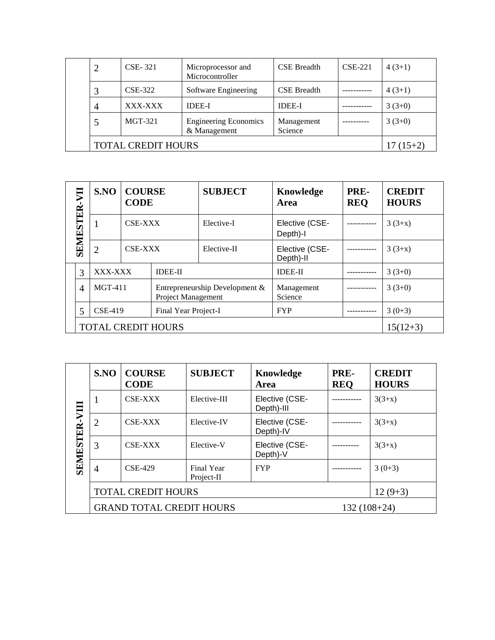|                    | CSE-321   | Microprocessor and<br>Microcontroller        | <b>CSE Breadth</b>    | $CSE-221$ | $4(3+1)$ |  |  |
|--------------------|-----------|----------------------------------------------|-----------------------|-----------|----------|--|--|
|                    | CSE-322   | Software Engineering                         | <b>CSE</b> Breadth    |           | $4(3+1)$ |  |  |
| $\overline{4}$     | XXX-XXX   | <b>IDEE-I</b>                                | <b>IDEE-I</b>         |           | $3(3+0)$ |  |  |
| 5                  | $MGT-321$ | <b>Engineering Economics</b><br>& Management | Management<br>Science |           | $3(3+0)$ |  |  |
| TOTAL CREDIT HOURS |           |                                              |                       |           |          |  |  |

|                  |                           | SNO                                                                              | <b>COURSE</b><br><b>CODE</b> |                                | <b>SUBJECT</b>        | Knowledge<br>Area           | PRE-<br><b>REQ</b> | <b>CREDIT</b><br><b>HOURS</b> |
|------------------|---------------------------|----------------------------------------------------------------------------------|------------------------------|--------------------------------|-----------------------|-----------------------------|--------------------|-------------------------------|
| <b>SEMESTER-</b> |                           |                                                                                  | CSE-XXX                      |                                | Elective-I            | Elective (CSE-<br>Depth)-I  |                    | $3(3+x)$                      |
|                  |                           | $\overline{2}$                                                                   | CSE-XXX                      |                                | Elective-II           | Elective (CSE-<br>Depth)-II |                    | $3(3+x)$                      |
|                  | 3                         |                                                                                  | XXX-XXX<br><b>IDEE-II</b>    |                                |                       | <b>IDEE-II</b>              |                    | $3(3+0)$                      |
|                  | $\overline{4}$            | $MGT-411$<br><b>Project Management</b><br><b>CSE-419</b><br>Final Year Project-I |                              | Entrepreneurship Development & | Management<br>Science | ----------                  | $3(3+0)$           |                               |
|                  | 5                         |                                                                                  |                              |                                | <b>FYP</b>            |                             | $3(0+3)$           |                               |
|                  | <b>TOTAL CREDIT HOURS</b> |                                                                                  |                              |                                |                       |                             |                    | $15(12+3)$                    |

| ДI<br><b>SENIESTER</b> | SNO            | <b>COURSE</b><br><b>CODE</b>    | <b>SUBJECT</b>           | Knowledge<br>Area            | PRE-<br><b>REQ</b> | <b>CREDIT</b><br><b>HOURS</b> |
|------------------------|----------------|---------------------------------|--------------------------|------------------------------|--------------------|-------------------------------|
|                        | 1              | CSE-XXX                         | Elective-III             | Elective (CSE-<br>Depth)-III |                    | $3(3+x)$                      |
|                        | $\overline{2}$ | CSE-XXX                         | Elective-IV              | Elective (CSE-<br>Depth)-IV  |                    | $3(3+x)$                      |
|                        | 3              | CSE-XXX                         | Elective-V               | Elective (CSE-<br>Depth)-V   |                    | $3(3+x)$                      |
|                        | $\overline{4}$ | <b>CSE-429</b>                  | Final Year<br>Project-II | <b>FYP</b>                   | .                  | $3(0+3)$                      |
|                        |                | <b>TOTAL CREDIT HOURS</b>       |                          |                              |                    | $12(9+3)$                     |
|                        |                | <b>GRAND TOTAL CREDIT HOURS</b> |                          | $132(108+24)$                |                    |                               |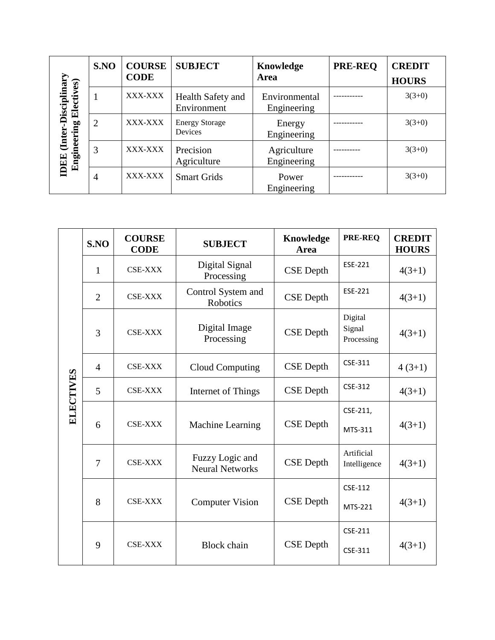|                           | S.NO           | <b>COURSE</b><br><b>CODE</b> | <b>SUBJECT</b>                   | Knowledge<br>Area            | <b>PRE-REQ</b> | <b>CREDIT</b><br><b>HOURS</b> |
|---------------------------|----------------|------------------------------|----------------------------------|------------------------------|----------------|-------------------------------|
| Disciplinar<br>Electives) |                | XXX-XXX                      | Health Safety and<br>Environment | Environmental<br>Engineering |                | $3(3+0)$                      |
| <b>Exter</b>              | 2              | XXX-XXX                      | <b>Energy Storage</b><br>Devices | Energy<br>Engineering        |                | $3(3+0)$                      |
| Engineering<br>IDEE       | 3              | XXX-XXX                      | Precision<br>Agriculture         | Agriculture<br>Engineering   |                | $3(3+0)$                      |
|                           | $\overline{4}$ | XXX-XXX                      | <b>Smart Grids</b>               | Power<br>Engineering         |                | $3(3+0)$                      |

|                  | S.NO           | <b>COURSE</b><br><b>CODE</b> | <b>SUBJECT</b>                            | <b>Knowledge</b><br>Area | <b>PRE-REQ</b>                  | <b>CREDIT</b><br><b>HOURS</b> |
|------------------|----------------|------------------------------|-------------------------------------------|--------------------------|---------------------------------|-------------------------------|
|                  | $\mathbf{1}$   | <b>CSE-XXX</b>               | Digital Signal<br>Processing              | <b>CSE</b> Depth         | ESE-221                         | $4(3+1)$                      |
|                  | $\overline{2}$ | <b>CSE-XXX</b>               | Control System and<br>Robotics            | <b>CSE</b> Depth         | ESE-221                         | $4(3+1)$                      |
|                  | 3              | <b>CSE-XXX</b>               | Digital Image<br>Processing               | <b>CSE</b> Depth         | Digital<br>Signal<br>Processing | $4(3+1)$                      |
|                  | $\overline{4}$ | <b>CSE-XXX</b>               | <b>Cloud Computing</b>                    | <b>CSE</b> Depth         | CSE-311                         | $4(3+1)$                      |
| <b>ELECTIVES</b> | 5              | <b>CSE-XXX</b>               | Internet of Things                        | <b>CSE</b> Depth         | CSE-312                         | $4(3+1)$                      |
|                  |                |                              |                                           |                          | CSE-211,                        |                               |
|                  | 6              | <b>CSE-XXX</b>               | Machine Learning                          | <b>CSE</b> Depth         | MTS-311                         | $4(3+1)$                      |
|                  | 7              | <b>CSE-XXX</b>               | Fuzzy Logic and<br><b>Neural Networks</b> | <b>CSE</b> Depth         | Artificial<br>Intelligence      | $4(3+1)$                      |
|                  |                |                              |                                           |                          | CSE-112                         |                               |
|                  | 8              | <b>CSE-XXX</b>               | <b>Computer Vision</b>                    | <b>CSE</b> Depth         | MTS-221                         | $4(3+1)$                      |
|                  |                |                              |                                           |                          | CSE-211                         |                               |
|                  | 9              | <b>CSE-XXX</b>               | <b>Block</b> chain                        | <b>CSE</b> Depth         | CSE-311                         | $4(3+1)$                      |